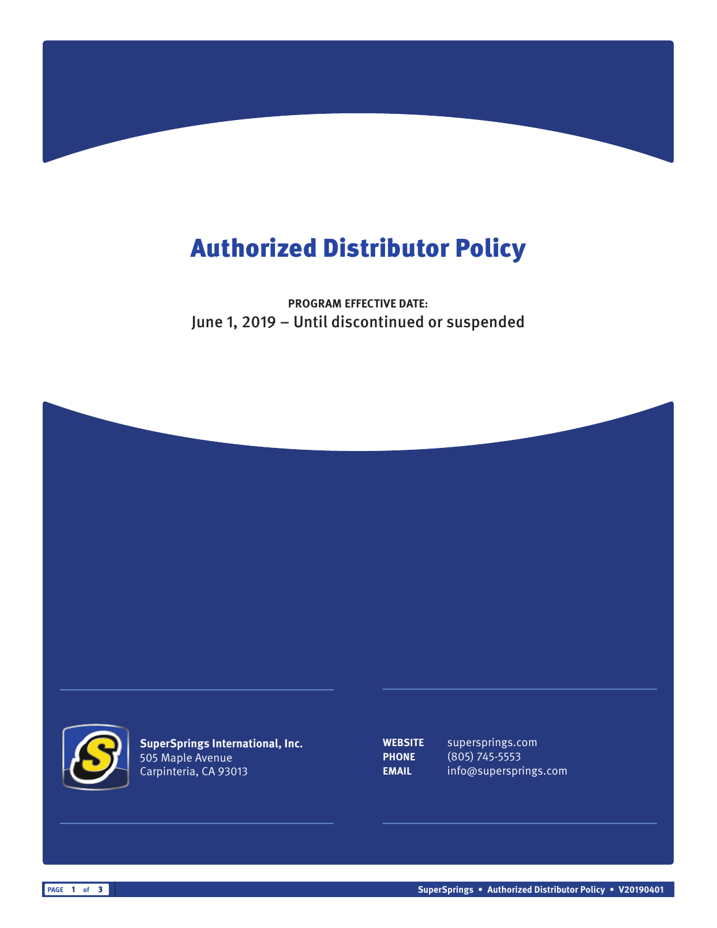## Authorized Distributor Policy

**PROGRAM EFFECTIVE DATE:** June 1, 2019 – Until discontinued or suspended





**SuperSprings International, Inc.** 505 Maple Avenue Carpinteria, CA 93013

**WEBSITE** supersprings.com **PHONE** (805) 745-5553 **EMAIL** info@supersprings.com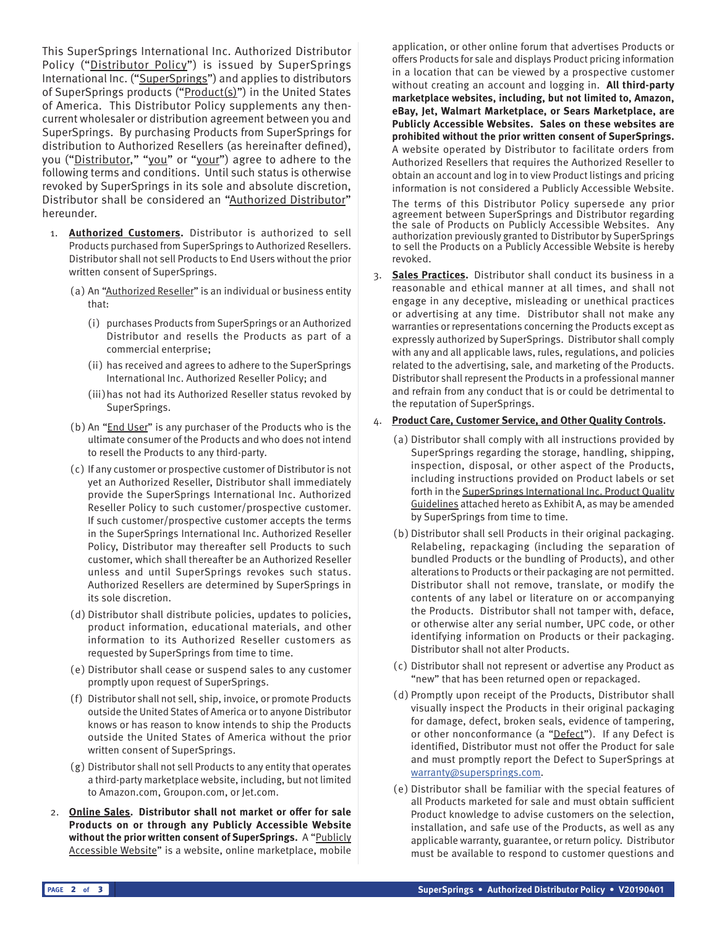This SuperSprings International Inc. Authorized Distributor Policy ("Distributor Policy") is issued by SuperSprings International Inc. ("SuperSprings") and applies to distributors of SuperSprings products ("Product(s)") in the United States of America. This Distributor Policy supplements any thencurrent wholesaler or distribution agreement between you and SuperSprings. By purchasing Products from SuperSprings for distribution to Authorized Resellers (as hereinafter defined), you ("Distributor," "you" or "your") agree to adhere to the following terms and conditions. Until such status is otherwise revoked by SuperSprings in its sole and absolute discretion, Distributor shall be considered an "Authorized Distributor" hereunder.

- 1. **Authorized Customers.** Distributor is authorized to sell Products purchased from SuperSprings to Authorized Resellers. Distributor shall not sell Products to End Users without the prior written consent of SuperSprings.
	- (a) An "Authorized Reseller" is an individual or business entity that:
		- (i) purchases Products from SuperSprings or an Authorized Distributor and resells the Products as part of a commercial enterprise;
		- (ii) has received and agrees to adhere to the SuperSprings International Inc. Authorized Reseller Policy; and
		- (iii)has not had its Authorized Reseller status revoked by SuperSprings.
	- (b) An "End User" is any purchaser of the Products who is the ultimate consumer of the Products and who does not intend to resell the Products to any third-party.
	- ( c) If any customer or prospective customer of Distributor is not yet an Authorized Reseller, Distributor shall immediately provide the SuperSprings International Inc. Authorized Reseller Policy to such customer/prospective customer. If such customer/prospective customer accepts the terms in the SuperSprings International Inc. Authorized Reseller Policy, Distributor may thereafter sell Products to such customer, which shall thereafter be an Authorized Reseller unless and until SuperSprings revokes such status. Authorized Resellers are determined by SuperSprings in its sole discretion.
	- (d) Distributor shall distribute policies, updates to policies, product information, educational materials, and other information to its Authorized Reseller customers as requested by SuperSprings from time to time.
	- (e) Distributor shall cease or suspend sales to any customer promptly upon request of SuperSprings.
	- (f) Distributor shall not sell, ship, invoice, or promote Products outside the United States of America or to anyone Distributor knows or has reason to know intends to ship the Products outside the United States of America without the prior written consent of SuperSprings.
	- (g) Distributor shall not sell Products to any entity that operates a third-party marketplace website, including, but not limited to Amazon.com, Groupon.com, or Jet.com.
- 2. **Online Sales. Distributor shall not market or offer for sale Products on or through any Publicly Accessible Website**  without the prior written consent of SuperSprings. A "Publicly Accessible Website" is a website, online marketplace, mobile

application, or other online forum that advertises Products or offers Products for sale and displays Product pricing information in a location that can be viewed by a prospective customer without creating an account and logging in. **All third-party marketplace websites, including, but not limited to, Amazon, eBay, Jet, Walmart Marketplace, or Sears Marketplace, are Publicly Accessible Websites. Sales on these websites are prohibited without the prior written consent of SuperSprings.** A website operated by Distributor to facilitate orders from Authorized Resellers that requires the Authorized Reseller to obtain an account and log in to view Product listings and pricing information is not considered a Publicly Accessible Website.

The terms of this Distributor Policy supersede any prior agreement between SuperSprings and Distributor regarding the sale of Products on Publicly Accessible Websites. Any authorization previously granted to Distributor by SuperSprings to sell the Products on a Publicly Accessible Website is hereby revoked.

3. **Sales Practices.** Distributor shall conduct its business in a reasonable and ethical manner at all times, and shall not engage in any deceptive, misleading or unethical practices or advertising at any time. Distributor shall not make any warranties or representations concerning the Products except as expressly authorized by SuperSprings. Distributor shall comply with any and all applicable laws, rules, regulations, and policies related to the advertising, sale, and marketing of the Products. Distributor shall represent the Products in a professional manner and refrain from any conduct that is or could be detrimental to the reputation of SuperSprings.

## 4. **Product Care, Customer Service, and Other Quality Controls.**

- (a) Distributor shall comply with all instructions provided by SuperSprings regarding the storage, handling, shipping, inspection, disposal, or other aspect of the Products, including instructions provided on Product labels or set forth in the SuperSprings International Inc. Product Quality Guidelines attached hereto as Exhibit A, as may be amended by SuperSprings from time to time.
- (b) Distributor shall sell Products in their original packaging. Relabeling, repackaging (including the separation of bundled Products or the bundling of Products), and other alterations to Products or their packaging are not permitted. Distributor shall not remove, translate, or modify the contents of any label or literature on or accompanying the Products. Distributor shall not tamper with, deface, or otherwise alter any serial number, UPC code, or other identifying information on Products or their packaging. Distributor shall not alter Products.
- ( c) Distributor shall not represent or advertise any Product as "new" that has been returned open or repackaged.
- (d) Promptly upon receipt of the Products, Distributor shall visually inspect the Products in their original packaging for damage, defect, broken seals, evidence of tampering, or other nonconformance (a "Defect"). If any Defect is identified, Distributor must not offer the Product for sale and must promptly report the Defect to SuperSprings at warranty@supersprings.com.
- (e) Distributor shall be familiar with the special features of all Products marketed for sale and must obtain sufficient Product knowledge to advise customers on the selection, installation, and safe use of the Products, as well as any applicable warranty, guarantee, or return policy. Distributor must be available to respond to customer questions and